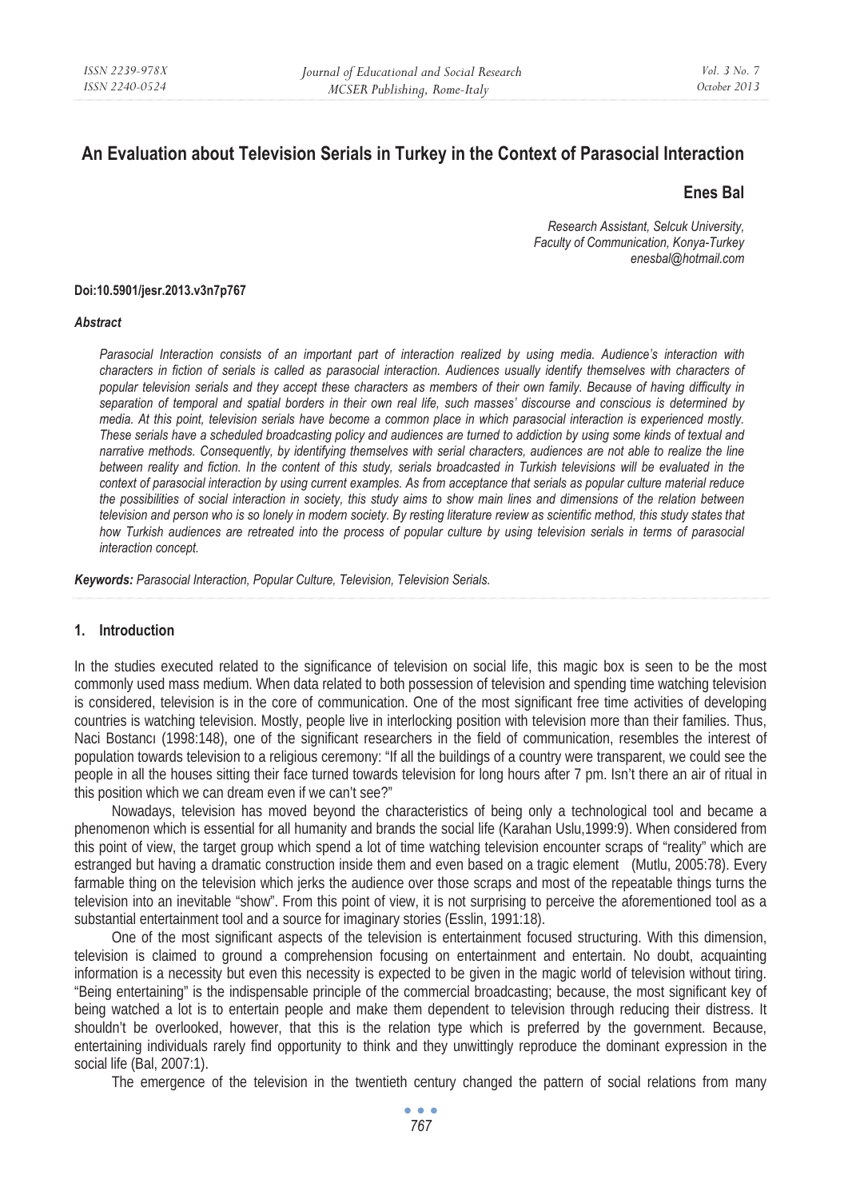# **An Evaluation about Television Serials in Turkey in the Context of Parasocial Interaction**

# **Enes Bal**

*Research Assistant, Selcuk University, Faculty of Communication, Konya-Turkey enesbal@hotmail.com* 

#### **Doi:10.5901/jesr.2013.v3n7p767**

#### *Abstract*

*Parasocial Interaction consists of an important part of interaction realized by using media. Audience's interaction with characters in fiction of serials is called as parasocial interaction. Audiences usually identify themselves with characters of popular television serials and they accept these characters as members of their own family. Because of having difficulty in separation of temporal and spatial borders in their own real life, such masses' discourse and conscious is determined by media. At this point, television serials have become a common place in which parasocial interaction is experienced mostly. These serials have a scheduled broadcasting policy and audiences are turned to addiction by using some kinds of textual and narrative methods. Consequently, by identifying themselves with serial characters, audiences are not able to realize the line*  between reality and fiction. In the content of this study, serials broadcasted in Turkish televisions will be evaluated in the *context of parasocial interaction by using current examples. As from acceptance that serials as popular culture material reduce the possibilities of social interaction in society, this study aims to show main lines and dimensions of the relation between television and person who is so lonely in modern society. By resting literature review as scientific method, this study states that how Turkish audiences are retreated into the process of popular culture by using television serials in terms of parasocial interaction concept.* 

*Keywords: Parasocial Interaction, Popular Culture, Television, Television Serials.* 

# **1. Introduction**

In the studies executed related to the significance of television on social life, this magic box is seen to be the most commonly used mass medium. When data related to both possession of television and spending time watching television is considered, television is in the core of communication. One of the most significant free time activities of developing countries is watching television. Mostly, people live in interlocking position with television more than their families. Thus, Naci Bostancı (1998:148), one of the significant researchers in the field of communication, resembles the interest of population towards television to a religious ceremony: "If all the buildings of a country were transparent, we could see the people in all the houses sitting their face turned towards television for long hours after 7 pm. Isn't there an air of ritual in this position which we can dream even if we can't see?"

Nowadays, television has moved beyond the characteristics of being only a technological tool and became a phenomenon which is essential for all humanity and brands the social life (Karahan Uslu,1999:9). When considered from this point of view, the target group which spend a lot of time watching television encounter scraps of "reality" which are estranged but having a dramatic construction inside them and even based on a tragic element (Mutlu, 2005:78). Every farmable thing on the television which jerks the audience over those scraps and most of the repeatable things turns the television into an inevitable "show". From this point of view, it is not surprising to perceive the aforementioned tool as a substantial entertainment tool and a source for imaginary stories (Esslin, 1991:18).

One of the most significant aspects of the television is entertainment focused structuring. With this dimension, television is claimed to ground a comprehension focusing on entertainment and entertain. No doubt, acquainting information is a necessity but even this necessity is expected to be given in the magic world of television without tiring. "Being entertaining" is the indispensable principle of the commercial broadcasting; because, the most significant key of being watched a lot is to entertain people and make them dependent to television through reducing their distress. It shouldn't be overlooked, however, that this is the relation type which is preferred by the government. Because, entertaining individuals rarely find opportunity to think and they unwittingly reproduce the dominant expression in the social life (Bal, 2007:1).

The emergence of the television in the twentieth century changed the pattern of social relations from many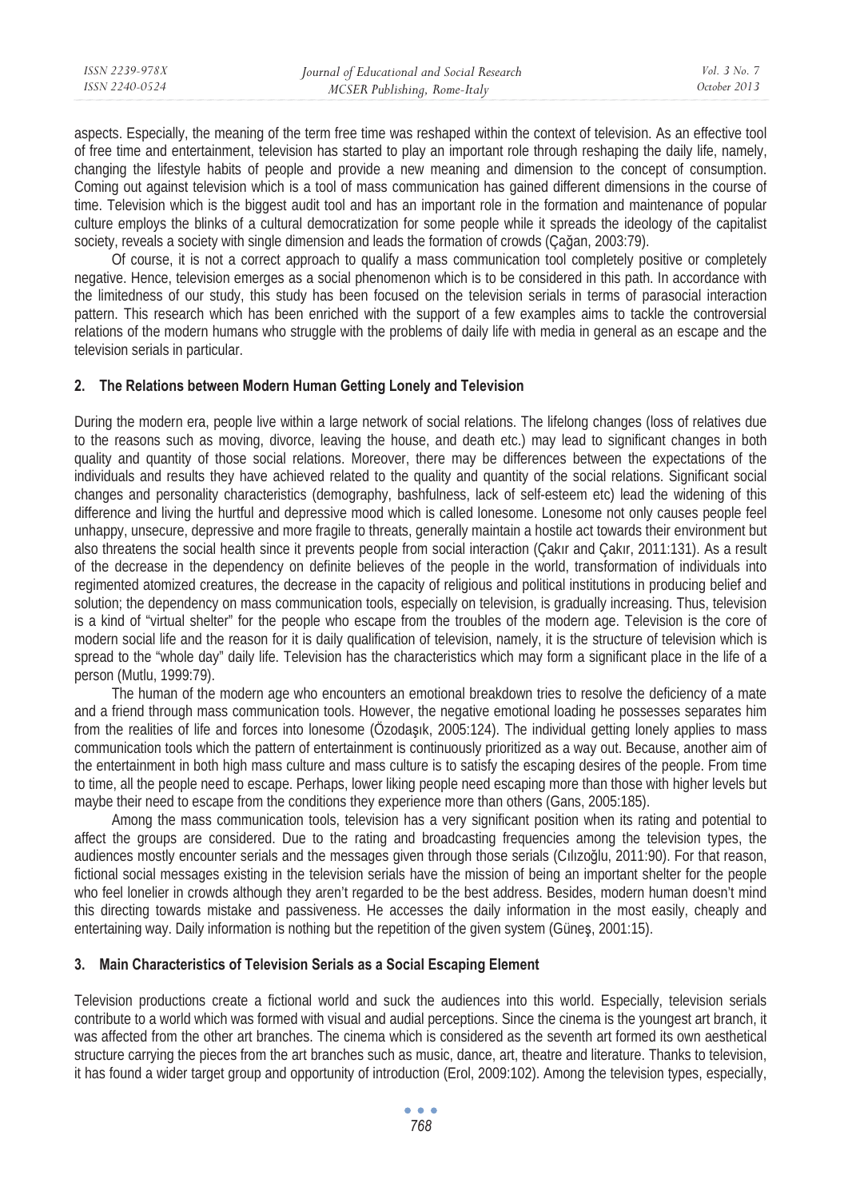| ISSN 2239-978X | Journal of Educational and Social Research | Vol. 3 No. 7 |
|----------------|--------------------------------------------|--------------|
| ISSN 2240-0524 | MCSER Publishing, Rome-Italy               | October 2013 |
|                |                                            |              |

aspects. Especially, the meaning of the term free time was reshaped within the context of television. As an effective tool of free time and entertainment, television has started to play an important role through reshaping the daily life, namely, changing the lifestyle habits of people and provide a new meaning and dimension to the concept of consumption. Coming out against television which is a tool of mass communication has gained different dimensions in the course of time. Television which is the biggest audit tool and has an important role in the formation and maintenance of popular culture employs the blinks of a cultural democratization for some people while it spreads the ideology of the capitalist society, reveals a society with single dimension and leads the formation of crowds (Cağan, 2003:79).

Of course, it is not a correct approach to qualify a mass communication tool completely positive or completely negative. Hence, television emerges as a social phenomenon which is to be considered in this path. In accordance with the limitedness of our study, this study has been focused on the television serials in terms of parasocial interaction pattern. This research which has been enriched with the support of a few examples aims to tackle the controversial relations of the modern humans who struggle with the problems of daily life with media in general as an escape and the television serials in particular.

## **2. The Relations between Modern Human Getting Lonely and Television**

During the modern era, people live within a large network of social relations. The lifelong changes (loss of relatives due to the reasons such as moving, divorce, leaving the house, and death etc.) may lead to significant changes in both quality and quantity of those social relations. Moreover, there may be differences between the expectations of the individuals and results they have achieved related to the quality and quantity of the social relations. Significant social changes and personality characteristics (demography, bashfulness, lack of self-esteem etc) lead the widening of this difference and living the hurtful and depressive mood which is called lonesome. Lonesome not only causes people feel unhappy, unsecure, depressive and more fragile to threats, generally maintain a hostile act towards their environment but also threatens the social health since it prevents people from social interaction (Cakır and Cakır, 2011:131). As a result of the decrease in the dependency on definite believes of the people in the world, transformation of individuals into regimented atomized creatures, the decrease in the capacity of religious and political institutions in producing belief and solution; the dependency on mass communication tools, especially on television, is gradually increasing. Thus, television is a kind of "virtual shelter" for the people who escape from the troubles of the modern age. Television is the core of modern social life and the reason for it is daily qualification of television, namely, it is the structure of television which is spread to the "whole day" daily life. Television has the characteristics which may form a significant place in the life of a person (Mutlu, 1999:79).

The human of the modern age who encounters an emotional breakdown tries to resolve the deficiency of a mate and a friend through mass communication tools. However, the negative emotional loading he possesses separates him from the realities of life and forces into lonesome (Özodaşık, 2005:124). The individual getting lonely applies to mass communication tools which the pattern of entertainment is continuously prioritized as a way out. Because, another aim of the entertainment in both high mass culture and mass culture is to satisfy the escaping desires of the people. From time to time, all the people need to escape. Perhaps, lower liking people need escaping more than those with higher levels but maybe their need to escape from the conditions they experience more than others (Gans, 2005:185).

Among the mass communication tools, television has a very significant position when its rating and potential to affect the groups are considered. Due to the rating and broadcasting frequencies among the television types, the audiences mostly encounter serials and the messages given through those serials (Cilizoğlu, 2011:90). For that reason, fictional social messages existing in the television serials have the mission of being an important shelter for the people who feel lonelier in crowds although they aren't regarded to be the best address. Besides, modern human doesn't mind this directing towards mistake and passiveness. He accesses the daily information in the most easily, cheaply and entertaining way. Daily information is nothing but the repetition of the given system (Güneş, 2001:15).

#### **3. Main Characteristics of Television Serials as a Social Escaping Element**

Television productions create a fictional world and suck the audiences into this world. Especially, television serials contribute to a world which was formed with visual and audial perceptions. Since the cinema is the youngest art branch, it was affected from the other art branches. The cinema which is considered as the seventh art formed its own aesthetical structure carrying the pieces from the art branches such as music, dance, art, theatre and literature. Thanks to television, it has found a wider target group and opportunity of introduction (Erol, 2009:102). Among the television types, especially,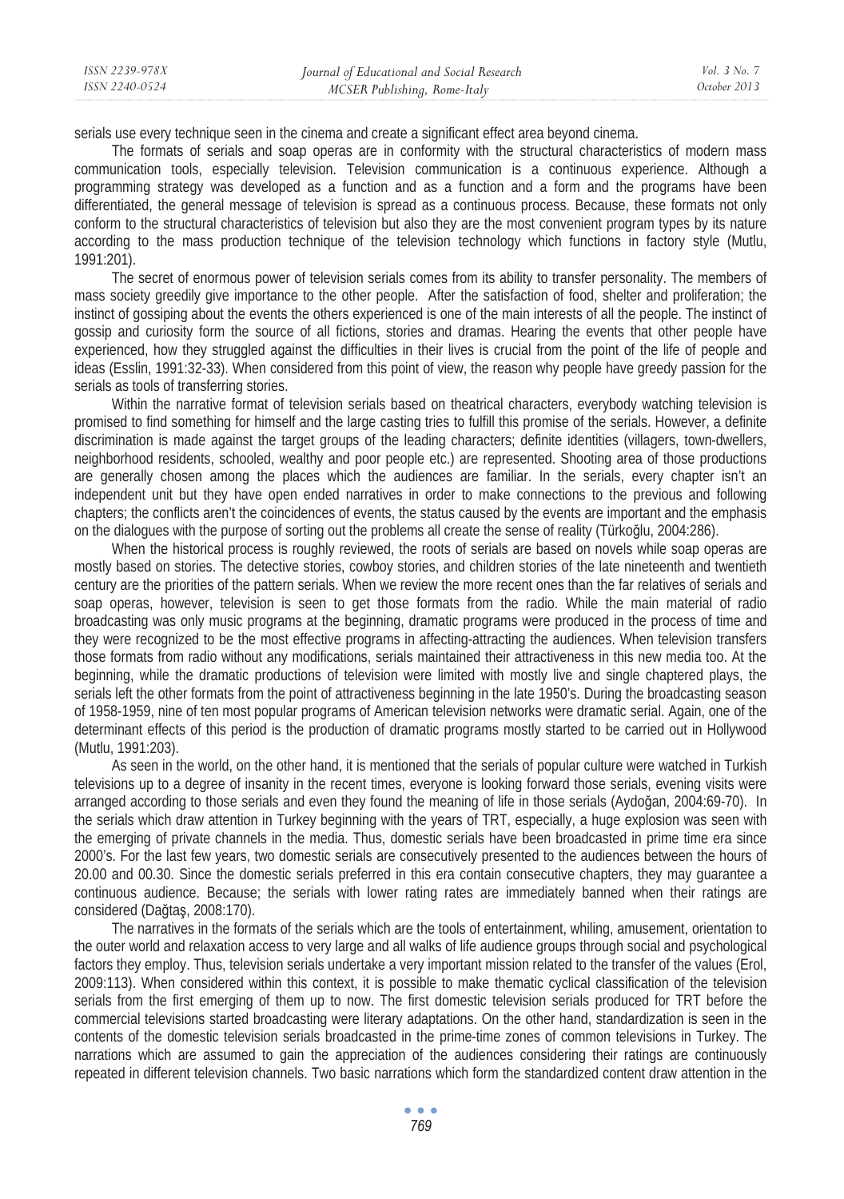| ISSN 2239-978X | Journal of Educational and Social Research | Vol. 3 No. 7 |
|----------------|--------------------------------------------|--------------|
| ISSN 2240-0524 | MCSER Publishing, Rome-Italy               | October 2013 |

serials use every technique seen in the cinema and create a significant effect area beyond cinema.

The formats of serials and soap operas are in conformity with the structural characteristics of modern mass communication tools, especially television. Television communication is a continuous experience. Although a programming strategy was developed as a function and as a function and a form and the programs have been differentiated, the general message of television is spread as a continuous process. Because, these formats not only conform to the structural characteristics of television but also they are the most convenient program types by its nature according to the mass production technique of the television technology which functions in factory style (Mutlu, 1991:201).

The secret of enormous power of television serials comes from its ability to transfer personality. The members of mass society greedily give importance to the other people. After the satisfaction of food, shelter and proliferation; the instinct of gossiping about the events the others experienced is one of the main interests of all the people. The instinct of gossip and curiosity form the source of all fictions, stories and dramas. Hearing the events that other people have experienced, how they struggled against the difficulties in their lives is crucial from the point of the life of people and ideas (Esslin, 1991:32-33). When considered from this point of view, the reason why people have greedy passion for the serials as tools of transferring stories.

Within the narrative format of television serials based on theatrical characters, everybody watching television is promised to find something for himself and the large casting tries to fulfill this promise of the serials. However, a definite discrimination is made against the target groups of the leading characters; definite identities (villagers, town-dwellers, neighborhood residents, schooled, wealthy and poor people etc.) are represented. Shooting area of those productions are generally chosen among the places which the audiences are familiar. In the serials, every chapter isn't an independent unit but they have open ended narratives in order to make connections to the previous and following chapters; the conflicts aren't the coincidences of events, the status caused by the events are important and the emphasis on the dialogues with the purpose of sorting out the problems all create the sense of reality (Türkoğlu, 2004:286).

When the historical process is roughly reviewed, the roots of serials are based on novels while soap operas are mostly based on stories. The detective stories, cowboy stories, and children stories of the late nineteenth and twentieth century are the priorities of the pattern serials. When we review the more recent ones than the far relatives of serials and soap operas, however, television is seen to get those formats from the radio. While the main material of radio broadcasting was only music programs at the beginning, dramatic programs were produced in the process of time and they were recognized to be the most effective programs in affecting-attracting the audiences. When television transfers those formats from radio without any modifications, serials maintained their attractiveness in this new media too. At the beginning, while the dramatic productions of television were limited with mostly live and single chaptered plays, the serials left the other formats from the point of attractiveness beginning in the late 1950's. During the broadcasting season of 1958-1959, nine of ten most popular programs of American television networks were dramatic serial. Again, one of the determinant effects of this period is the production of dramatic programs mostly started to be carried out in Hollywood (Mutlu, 1991:203).

As seen in the world, on the other hand, it is mentioned that the serials of popular culture were watched in Turkish televisions up to a degree of insanity in the recent times, everyone is looking forward those serials, evening visits were arranged according to those serials and even they found the meaning of life in those serials (Aydoğan, 2004:69-70). In the serials which draw attention in Turkey beginning with the years of TRT, especially, a huge explosion was seen with the emerging of private channels in the media. Thus, domestic serials have been broadcasted in prime time era since 2000's. For the last few years, two domestic serials are consecutively presented to the audiences between the hours of 20.00 and 00.30. Since the domestic serials preferred in this era contain consecutive chapters, they may guarantee a continuous audience. Because; the serials with lower rating rates are immediately banned when their ratings are considered (Dağtaş, 2008:170).

The narratives in the formats of the serials which are the tools of entertainment, whiling, amusement, orientation to the outer world and relaxation access to very large and all walks of life audience groups through social and psychological factors they employ. Thus, television serials undertake a very important mission related to the transfer of the values (Erol, 2009:113). When considered within this context, it is possible to make thematic cyclical classification of the television serials from the first emerging of them up to now. The first domestic television serials produced for TRT before the commercial televisions started broadcasting were literary adaptations. On the other hand, standardization is seen in the contents of the domestic television serials broadcasted in the prime-time zones of common televisions in Turkey. The narrations which are assumed to gain the appreciation of the audiences considering their ratings are continuously repeated in different television channels. Two basic narrations which form the standardized content draw attention in the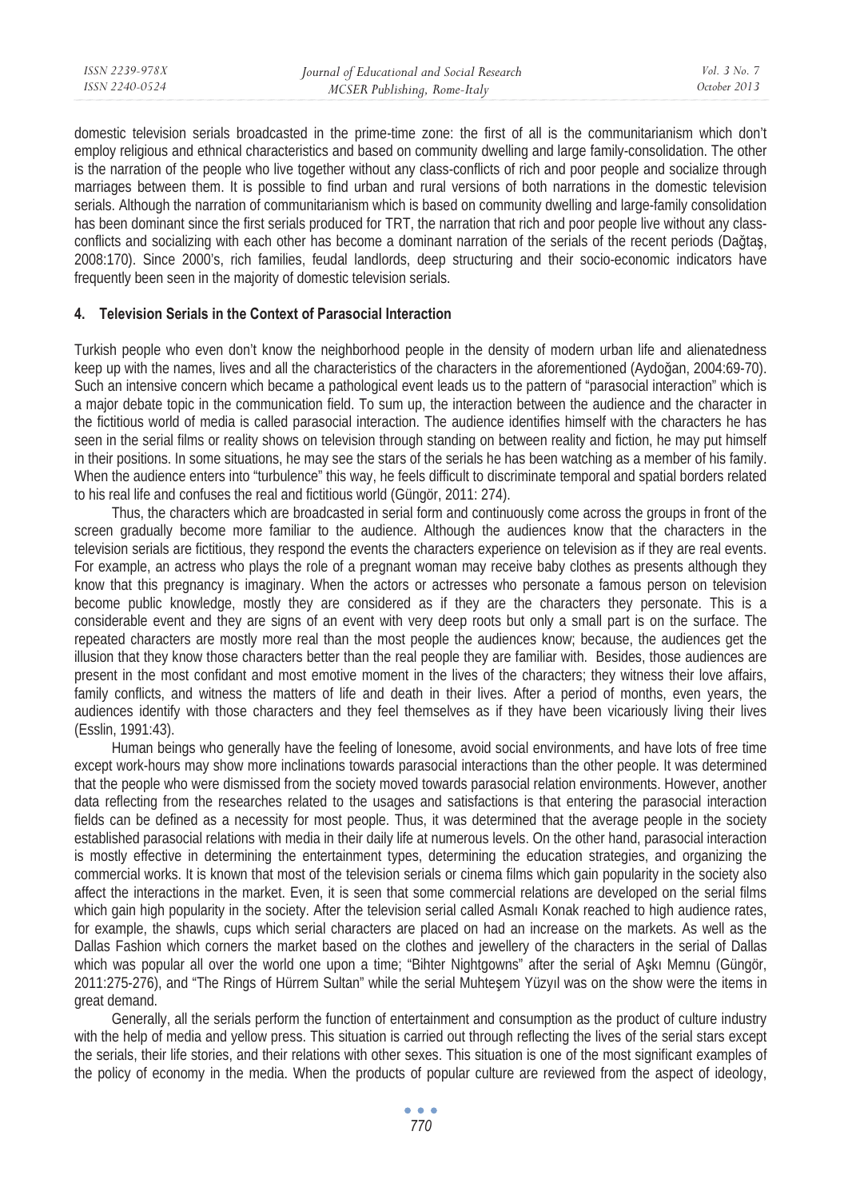domestic television serials broadcasted in the prime-time zone: the first of all is the communitarianism which don't employ religious and ethnical characteristics and based on community dwelling and large family-consolidation. The other is the narration of the people who live together without any class-conflicts of rich and poor people and socialize through marriages between them. It is possible to find urban and rural versions of both narrations in the domestic television serials. Although the narration of communitarianism which is based on community dwelling and large-family consolidation has been dominant since the first serials produced for TRT, the narration that rich and poor people live without any classconflicts and socializing with each other has become a dominant narration of the serials of the recent periods (Dağtaş, 2008:170). Since 2000's, rich families, feudal landlords, deep structuring and their socio-economic indicators have frequently been seen in the majority of domestic television serials.

# **4. Television Serials in the Context of Parasocial Interaction**

Turkish people who even don't know the neighborhood people in the density of modern urban life and alienatedness keep up with the names, lives and all the characteristics of the characters in the aforementioned (Aydoğan, 2004:69-70). Such an intensive concern which became a pathological event leads us to the pattern of "parasocial interaction" which is a major debate topic in the communication field. To sum up, the interaction between the audience and the character in the fictitious world of media is called parasocial interaction. The audience identifies himself with the characters he has seen in the serial films or reality shows on television through standing on between reality and fiction, he may put himself in their positions. In some situations, he may see the stars of the serials he has been watching as a member of his family. When the audience enters into "turbulence" this way, he feels difficult to discriminate temporal and spatial borders related to his real life and confuses the real and fictitious world (Güngör, 2011: 274).

Thus, the characters which are broadcasted in serial form and continuously come across the groups in front of the screen gradually become more familiar to the audience. Although the audiences know that the characters in the television serials are fictitious, they respond the events the characters experience on television as if they are real events. For example, an actress who plays the role of a pregnant woman may receive baby clothes as presents although they know that this pregnancy is imaginary. When the actors or actresses who personate a famous person on television become public knowledge, mostly they are considered as if they are the characters they personate. This is a considerable event and they are signs of an event with very deep roots but only a small part is on the surface. The repeated characters are mostly more real than the most people the audiences know; because, the audiences get the illusion that they know those characters better than the real people they are familiar with. Besides, those audiences are present in the most confidant and most emotive moment in the lives of the characters; they witness their love affairs, family conflicts, and witness the matters of life and death in their lives. After a period of months, even years, the audiences identify with those characters and they feel themselves as if they have been vicariously living their lives (Esslin, 1991:43).

Human beings who generally have the feeling of lonesome, avoid social environments, and have lots of free time except work-hours may show more inclinations towards parasocial interactions than the other people. It was determined that the people who were dismissed from the society moved towards parasocial relation environments. However, another data reflecting from the researches related to the usages and satisfactions is that entering the parasocial interaction fields can be defined as a necessity for most people. Thus, it was determined that the average people in the society established parasocial relations with media in their daily life at numerous levels. On the other hand, parasocial interaction is mostly effective in determining the entertainment types, determining the education strategies, and organizing the commercial works. It is known that most of the television serials or cinema films which gain popularity in the society also affect the interactions in the market. Even, it is seen that some commercial relations are developed on the serial films which gain high popularity in the society. After the television serial called Asmalı Konak reached to high audience rates, for example, the shawls, cups which serial characters are placed on had an increase on the markets. As well as the Dallas Fashion which corners the market based on the clothes and jewellery of the characters in the serial of Dallas which was popular all over the world one upon a time; "Bihter Nightgowns" after the serial of Aşkı Memnu (Güngör, 2011:275-276), and "The Rings of Hürrem Sultan" while the serial Muhteşem Yüzyıl was on the show were the items in great demand.

Generally, all the serials perform the function of entertainment and consumption as the product of culture industry with the help of media and yellow press. This situation is carried out through reflecting the lives of the serial stars except the serials, their life stories, and their relations with other sexes. This situation is one of the most significant examples of the policy of economy in the media. When the products of popular culture are reviewed from the aspect of ideology,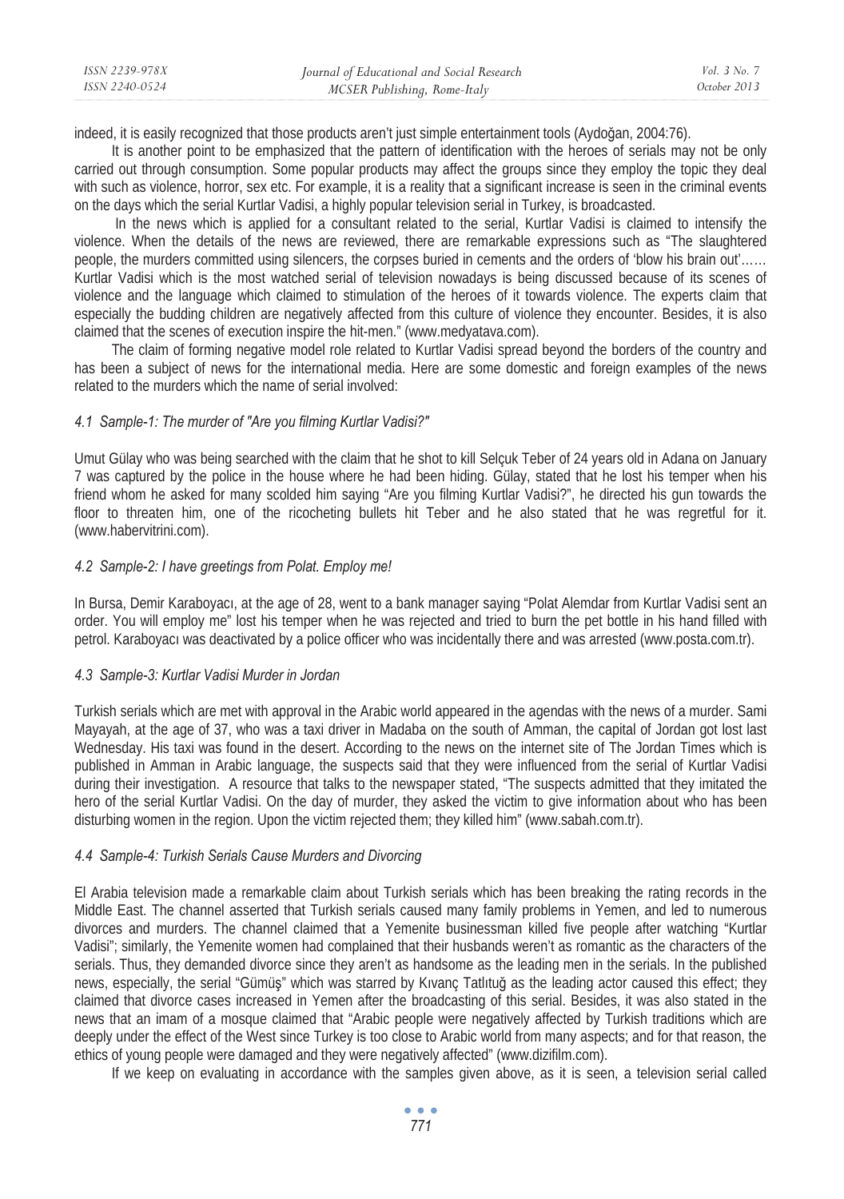| ISSN 2239-978X | Journal of Educational and Social Research | Vol. 3 No. 7 |
|----------------|--------------------------------------------|--------------|
| ISSN 2240-0524 | MCSER Publishing, Rome-Italy               | October 2013 |

indeed, it is easily recognized that those products aren't just simple entertainment tools (Aydoğan, 2004:76).

It is another point to be emphasized that the pattern of identification with the heroes of serials may not be only carried out through consumption. Some popular products may affect the groups since they employ the topic they deal with such as violence, horror, sex etc. For example, it is a reality that a significant increase is seen in the criminal events on the days which the serial Kurtlar Vadisi, a highly popular television serial in Turkey, is broadcasted.

 In the news which is applied for a consultant related to the serial, Kurtlar Vadisi is claimed to intensify the violence. When the details of the news are reviewed, there are remarkable expressions such as "The slaughtered people, the murders committed using silencers, the corpses buried in cements and the orders of 'blow his brain out'…… Kurtlar Vadisi which is the most watched serial of television nowadays is being discussed because of its scenes of violence and the language which claimed to stimulation of the heroes of it towards violence. The experts claim that especially the budding children are negatively affected from this culture of violence they encounter. Besides, it is also claimed that the scenes of execution inspire the hit-men." (www.medyatava.com).

The claim of forming negative model role related to Kurtlar Vadisi spread beyond the borders of the country and has been a subject of news for the international media. Here are some domestic and foreign examples of the news related to the murders which the name of serial involved:

## *4.1 Sample-1: The murder of "Are you filming Kurtlar Vadisi?"*

Umut Gülay who was being searched with the claim that he shot to kill Selçuk Teber of 24 years old in Adana on January 7 was captured by the police in the house where he had been hiding. Gülay, stated that he lost his temper when his friend whom he asked for many scolded him saying "Are you filming Kurtlar Vadisi?", he directed his gun towards the floor to threaten him, one of the ricocheting bullets hit Teber and he also stated that he was regretful for it. (www.habervitrini.com).

## *4.2 Sample-2: I have greetings from Polat. Employ me!*

In Bursa, Demir Karaboyacı, at the age of 28, went to a bank manager saying "Polat Alemdar from Kurtlar Vadisi sent an order. You will employ me" lost his temper when he was rejected and tried to burn the pet bottle in his hand filled with petrol. Karaboyacı was deactivated by a police officer who was incidentally there and was arrested (www.posta.com.tr).

#### *4.3 Sample-3: Kurtlar Vadisi Murder in Jordan*

Turkish serials which are met with approval in the Arabic world appeared in the agendas with the news of a murder. Sami Mayayah, at the age of 37, who was a taxi driver in Madaba on the south of Amman, the capital of Jordan got lost last Wednesday. His taxi was found in the desert. According to the news on the internet site of The Jordan Times which is published in Amman in Arabic language, the suspects said that they were influenced from the serial of Kurtlar Vadisi during their investigation. A resource that talks to the newspaper stated, "The suspects admitted that they imitated the hero of the serial Kurtlar Vadisi. On the day of murder, they asked the victim to give information about who has been disturbing women in the region. Upon the victim rejected them; they killed him" (www.sabah.com.tr).

# *4.4 Sample-4: Turkish Serials Cause Murders and Divorcing*

El Arabia television made a remarkable claim about Turkish serials which has been breaking the rating records in the Middle East. The channel asserted that Turkish serials caused many family problems in Yemen, and led to numerous divorces and murders. The channel claimed that a Yemenite businessman killed five people after watching "Kurtlar Vadisi"; similarly, the Yemenite women had complained that their husbands weren't as romantic as the characters of the serials. Thus, they demanded divorce since they aren't as handsome as the leading men in the serials. In the published news, especially, the serial "Gümüş" which was starred by Kıvanç Tatlıtuğ as the leading actor caused this effect; they claimed that divorce cases increased in Yemen after the broadcasting of this serial. Besides, it was also stated in the news that an imam of a mosque claimed that "Arabic people were negatively affected by Turkish traditions which are deeply under the effect of the West since Turkey is too close to Arabic world from many aspects; and for that reason, the ethics of young people were damaged and they were negatively affected" (www.dizifilm.com).

If we keep on evaluating in accordance with the samples given above, as it is seen, a television serial called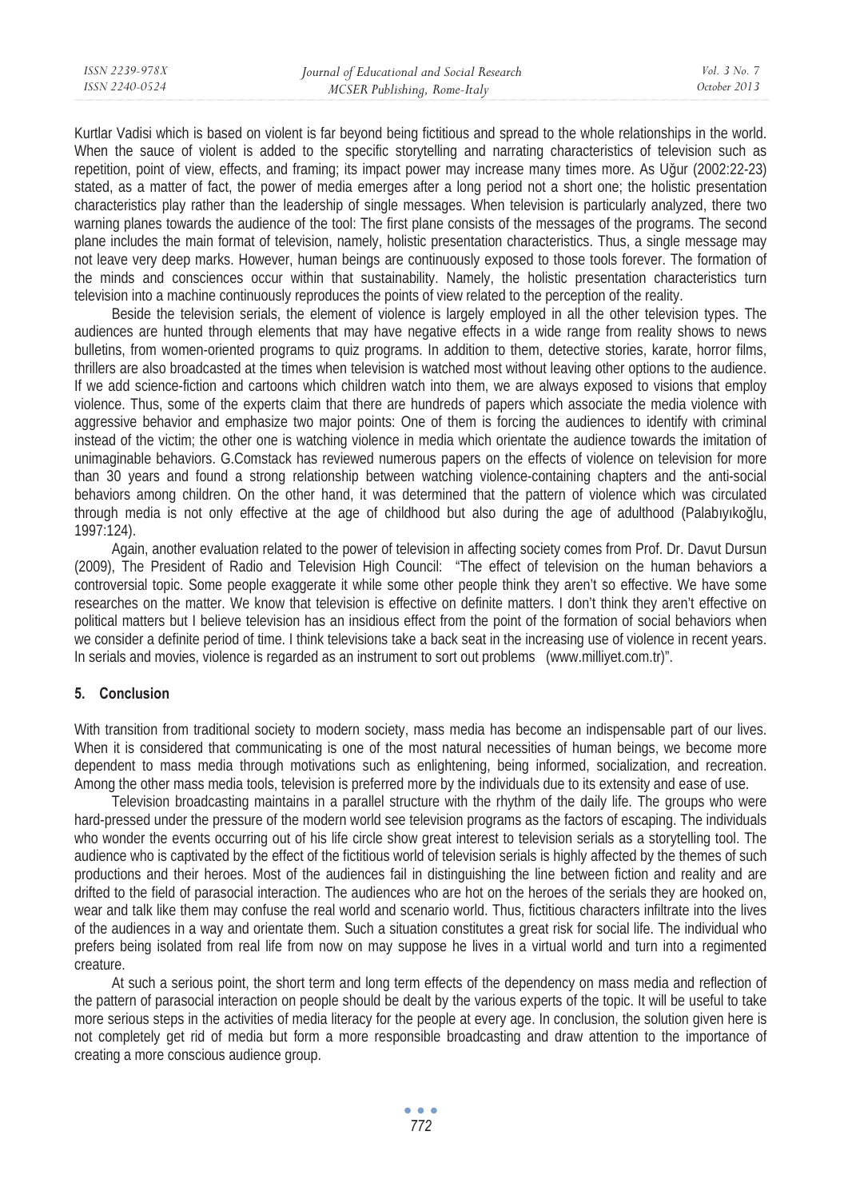| ISSN 2239-978X | Journal of Educational and Social Research | Vol. 3 No. 7 |
|----------------|--------------------------------------------|--------------|
| ISSN 2240-0524 | MCSER Publishing, Rome-Italy               | October 2013 |
|                |                                            |              |

Kurtlar Vadisi which is based on violent is far beyond being fictitious and spread to the whole relationships in the world. When the sauce of violent is added to the specific storytelling and narrating characteristics of television such as repetition, point of view, effects, and framing; its impact power may increase many times more. As Uğur (2002:22-23) stated, as a matter of fact, the power of media emerges after a long period not a short one; the holistic presentation characteristics play rather than the leadership of single messages. When television is particularly analyzed, there two warning planes towards the audience of the tool: The first plane consists of the messages of the programs. The second plane includes the main format of television, namely, holistic presentation characteristics. Thus, a single message may not leave very deep marks. However, human beings are continuously exposed to those tools forever. The formation of the minds and consciences occur within that sustainability. Namely, the holistic presentation characteristics turn television into a machine continuously reproduces the points of view related to the perception of the reality.

Beside the television serials, the element of violence is largely employed in all the other television types. The audiences are hunted through elements that may have negative effects in a wide range from reality shows to news bulletins, from women-oriented programs to quiz programs. In addition to them, detective stories, karate, horror films, thrillers are also broadcasted at the times when television is watched most without leaving other options to the audience. If we add science-fiction and cartoons which children watch into them, we are always exposed to visions that employ violence. Thus, some of the experts claim that there are hundreds of papers which associate the media violence with aggressive behavior and emphasize two major points: One of them is forcing the audiences to identify with criminal instead of the victim; the other one is watching violence in media which orientate the audience towards the imitation of unimaginable behaviors. G.Comstack has reviewed numerous papers on the effects of violence on television for more than 30 years and found a strong relationship between watching violence-containing chapters and the anti-social behaviors among children. On the other hand, it was determined that the pattern of violence which was circulated through media is not only effective at the age of childhood but also during the age of adulthood (Palabıyıkoğlu, 1997:124).

Again, another evaluation related to the power of television in affecting society comes from Prof. Dr. Davut Dursun (2009), The President of Radio and Television High Council: "The effect of television on the human behaviors a controversial topic. Some people exaggerate it while some other people think they aren't so effective. We have some researches on the matter. We know that television is effective on definite matters. I don't think they aren't effective on political matters but I believe television has an insidious effect from the point of the formation of social behaviors when we consider a definite period of time. I think televisions take a back seat in the increasing use of violence in recent years. In serials and movies, violence is regarded as an instrument to sort out problems (www.milliyet.com.tr)".

# **5. Conclusion**

With transition from traditional society to modern society, mass media has become an indispensable part of our lives. When it is considered that communicating is one of the most natural necessities of human beings, we become more dependent to mass media through motivations such as enlightening, being informed, socialization, and recreation. Among the other mass media tools, television is preferred more by the individuals due to its extensity and ease of use.

Television broadcasting maintains in a parallel structure with the rhythm of the daily life. The groups who were hard-pressed under the pressure of the modern world see television programs as the factors of escaping. The individuals who wonder the events occurring out of his life circle show great interest to television serials as a storytelling tool. The audience who is captivated by the effect of the fictitious world of television serials is highly affected by the themes of such productions and their heroes. Most of the audiences fail in distinguishing the line between fiction and reality and are drifted to the field of parasocial interaction. The audiences who are hot on the heroes of the serials they are hooked on, wear and talk like them may confuse the real world and scenario world. Thus, fictitious characters infiltrate into the lives of the audiences in a way and orientate them. Such a situation constitutes a great risk for social life. The individual who prefers being isolated from real life from now on may suppose he lives in a virtual world and turn into a regimented creature.

At such a serious point, the short term and long term effects of the dependency on mass media and reflection of the pattern of parasocial interaction on people should be dealt by the various experts of the topic. It will be useful to take more serious steps in the activities of media literacy for the people at every age. In conclusion, the solution given here is not completely get rid of media but form a more responsible broadcasting and draw attention to the importance of creating a more conscious audience group.